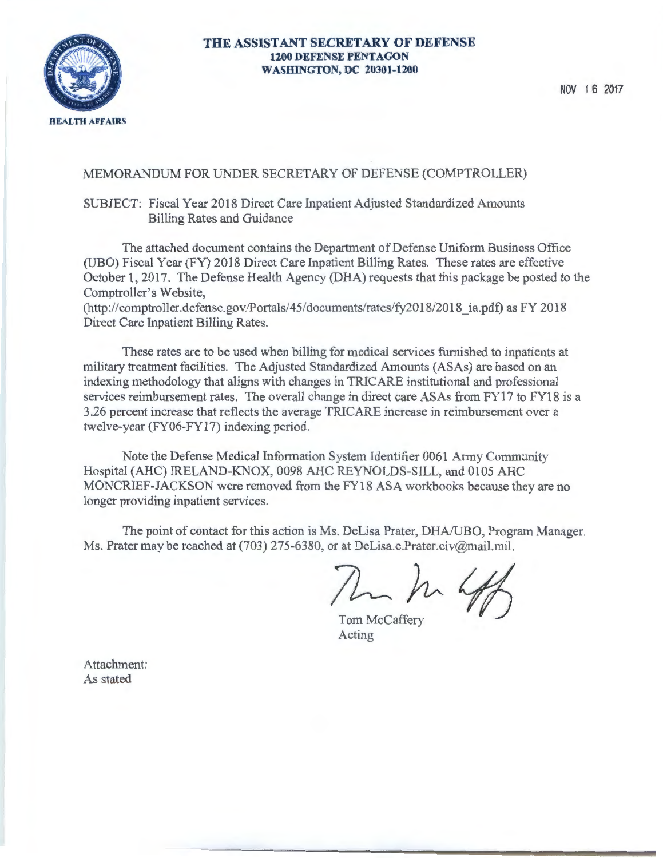

#### **THE ASSISTANT SECRETARY OF DEFENSE 1200 DEFENSE PENTAGON WASHINGTON, DC 20301-1200**

NOV 1 **6 2017** 

#### MEMORANDUM FOR UNDER SECRETARY OF DEFENSE (COMPTROLLER)

#### SUBJECT: Fiscal Year 2018 Direct Care Inpatient Adjusted Standardized Amounts Billing Rates and Guidance

The attached document contains the Department of Defense Uniform Business Office (UBO) Fiscal Year (FY) 2018 Direct Care Inpatient Billing Rates. These rates are effective October 1, 2017. The Defense Health Agency (DHA) requests that this package be posted to the Comptroller's Website,

(http://comptroller.defense.gov/Portals/45/documents/rates/fy2018/2018 \_ia.pdf) as FY 2018 Direct Care Inpatient Billing Rates.

These rates are to be used when billing for medical services furnished to inpatients at military treatment facilities. The Adjusted Standardized Amounts (ASAs) are based on an indexing methodology that aligns with changes in TRICARE institutional and professional services reimbursement rates. The overall change in direct care ASAs from FY17 to FY18 is a 3.26 percent increase that reflects the average TRICARE increase in reimbursement over a twelve-year (FY06-FY17) indexing period.

Note the Defense Medical Information System Identifier 0061 Army Community Hospital (AHC) IRELAND-KNOX, 0098 AHC REYNOLDS-SILL, and 0105 AHC MONCRIEF-JACKSON were removed from the FY18 ASA workbooks because they are no longer providing inpatient services.

The point of contact for this action is Ms. DeLisa Prater, DHA/UBO, Program Manager. Ms. Prater may be reached at (703) 275-6380, or at DeLisa.e.Prater.civ@mail.mil.

Mar ha hop

Tom McCaffery Acting

Attachment: As stated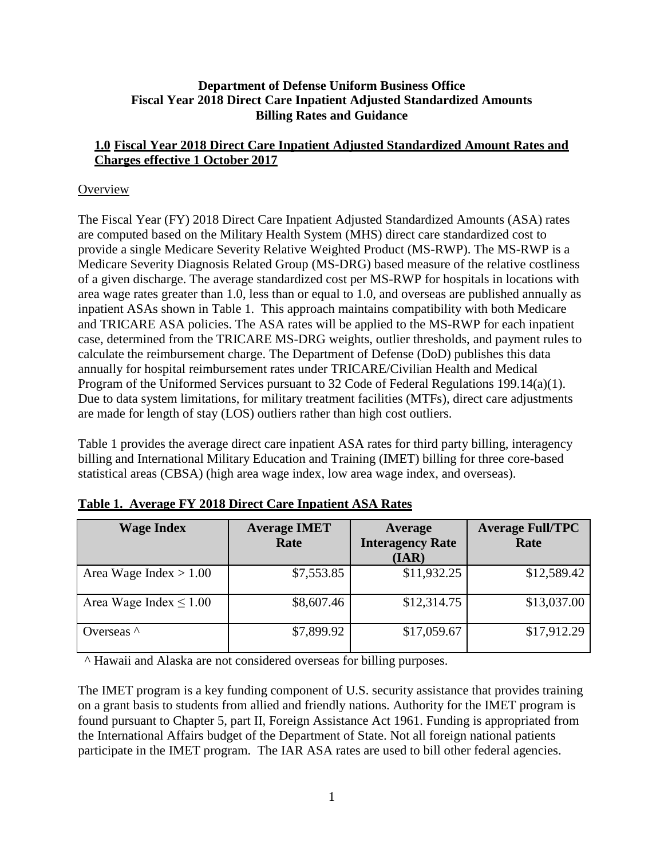#### **Department of Defense Uniform Business Office Fiscal Year 2018 Direct Care Inpatient Adjusted Standardized Amounts Billing Rates and Guidance**

### **1.0 Fiscal Year 2018 Direct Care Inpatient Adjusted Standardized Amount Rates and Charges effective 1 October 2017**

## **Overview**

The Fiscal Year (FY) 2018 Direct Care Inpatient Adjusted Standardized Amounts (ASA) rates are computed based on the Military Health System (MHS) direct care standardized cost to provide a single Medicare Severity Relative Weighted Product (MS-RWP). The MS-RWP is a Medicare Severity Diagnosis Related Group (MS-DRG) based measure of the relative costliness of a given discharge. The average standardized cost per MS-RWP for hospitals in locations with area wage rates greater than 1.0, less than or equal to 1.0, and overseas are published annually as inpatient ASAs shown in Table 1. This approach maintains compatibility with both Medicare and TRICARE ASA policies. The ASA rates will be applied to the MS-RWP for each inpatient case, determined from the TRICARE MS-DRG weights, outlier thresholds, and payment rules to calculate the reimbursement charge. The Department of Defense (DoD) publishes this data annually for hospital reimbursement rates under TRICARE/Civilian Health and Medical Program of the Uniformed Services pursuant to 32 Code of Federal Regulations 199.14(a)(1). Due to data system limitations, for military treatment facilities (MTFs), direct care adjustments are made for length of stay (LOS) outliers rather than high cost outliers.

Table 1 provides the average direct care inpatient ASA rates for third party billing, interagency billing and International Military Education and Training (IMET) billing for three core-based statistical areas (CBSA) (high area wage index, low area wage index, and overseas).

| <b>Wage Index</b>           | <b>Average IMET</b><br>Rate | Average<br><b>Interagency Rate</b><br>(IAR) | <b>Average Full/TPC</b><br>Rate |
|-----------------------------|-----------------------------|---------------------------------------------|---------------------------------|
| Area Wage Index $> 1.00$    | \$7,553.85                  | \$11,932.25                                 | \$12,589.42                     |
| Area Wage Index $\leq 1.00$ | \$8,607.46                  | \$12,314.75                                 | \$13,037.00                     |
| Overseas $\wedge$           | \$7,899.92                  | \$17,059.67                                 | \$17,912.29                     |

| Table 1. Average FY 2018 Direct Care Inpatient ASA Rates |  |
|----------------------------------------------------------|--|
|                                                          |  |

^ Hawaii and Alaska are not considered overseas for billing purposes.

The IMET program is a key funding component of U.S. security assistance that provides training on a grant basis to students from allied and friendly nations. Authority for the IMET program is found pursuant to Chapter 5, part II, Foreign Assistance Act 1961. Funding is appropriated from the International Affairs budget of the Department of State. Not all foreign national patients participate in the IMET program. The IAR ASA rates are used to bill other federal agencies.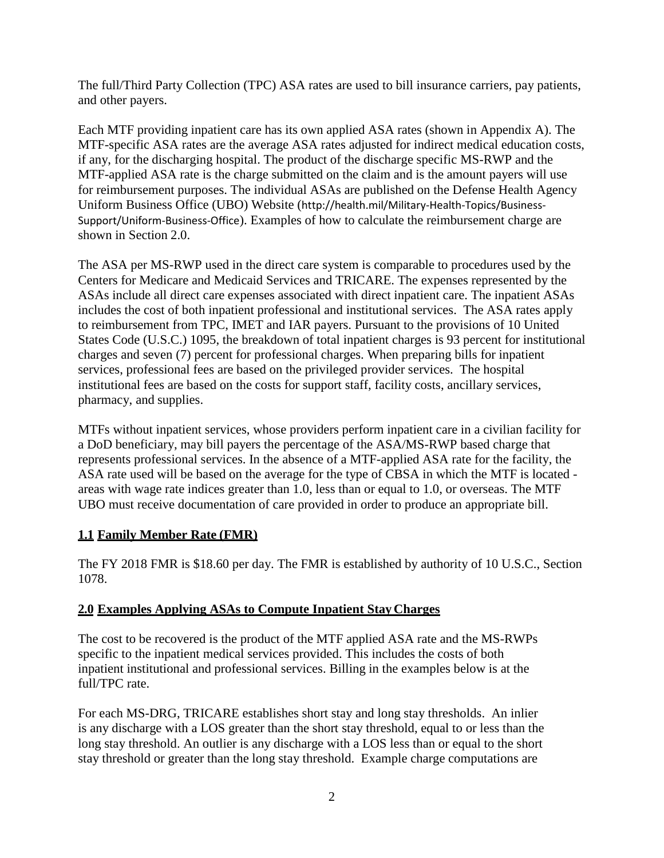The full/Third Party Collection (TPC) ASA rates are used to bill insurance carriers, pay patients, and other payers.

Each MTF providing inpatient care has its own applied ASA rates (shown in Appendix A). The MTF-specific ASA rates are the average ASA rates adjusted for indirect medical education costs, if any, for the discharging hospital. The product of the discharge specific MS-RWP and the MTF-applied ASA rate is the charge submitted on the claim and is the amount payers will use for reimbursement purposes. The individual ASAs are published on the Defense Health Agency Uniform Business Office (UBO) Website (<http://health.mil/Military-Health-Topics/Business->Support/Uniform-Business-Office). Examples of how to calculate the reimbursement charge are shown in Section 2.0.

The ASA per MS-RWP used in the direct care system is comparable to procedures used by the Centers for Medicare and Medicaid Services and TRICARE. The expenses represented by the ASAs include all direct care expenses associated with direct inpatient care. The inpatient ASAs includes the cost of both inpatient professional and institutional services. The ASA rates apply to reimbursement from TPC, IMET and IAR payers. Pursuant to the provisions of 10 United States Code (U.S.C.) 1095, the breakdown of total inpatient charges is 93 percent for institutional charges and seven (7) percent for professional charges. When preparing bills for inpatient services, professional fees are based on the privileged provider services. The hospital institutional fees are based on the costs for support staff, facility costs, ancillary services, pharmacy, and supplies.

MTFs without inpatient services, whose providers perform inpatient care in a civilian facility for a DoD beneficiary, may bill payers the percentage of the ASA/MS-RWP based charge that represents professional services. In the absence of a MTF-applied ASA rate for the facility, the ASA rate used will be based on the average for the type of CBSA in which the MTF is located areas with wage rate indices greater than 1.0, less than or equal to 1.0, or overseas. The MTF UBO must receive documentation of care provided in order to produce an appropriate bill.

# **1.1 Family Member Rate (FMR)**

The FY 2018 FMR is \$18.60 per day. The FMR is established by authority of 10 U.S.C., Section 1078.

## **2.0 Examples Applying ASAs to Compute Inpatient Stay Charges**

The cost to be recovered is the product of the MTF applied ASA rate and the MS-RWPs specific to the inpatient medical services provided. This includes the costs of both inpatient institutional and professional services. Billing in the examples below is at the full/TPC rate.

For each MS-DRG, TRICARE establishes short stay and long stay thresholds. An inlier is any discharge with a LOS greater than the short stay threshold, equal to or less than the long stay threshold. An outlier is any discharge with a LOS less than or equal to the short stay threshold or greater than the long stay threshold. Example charge computations are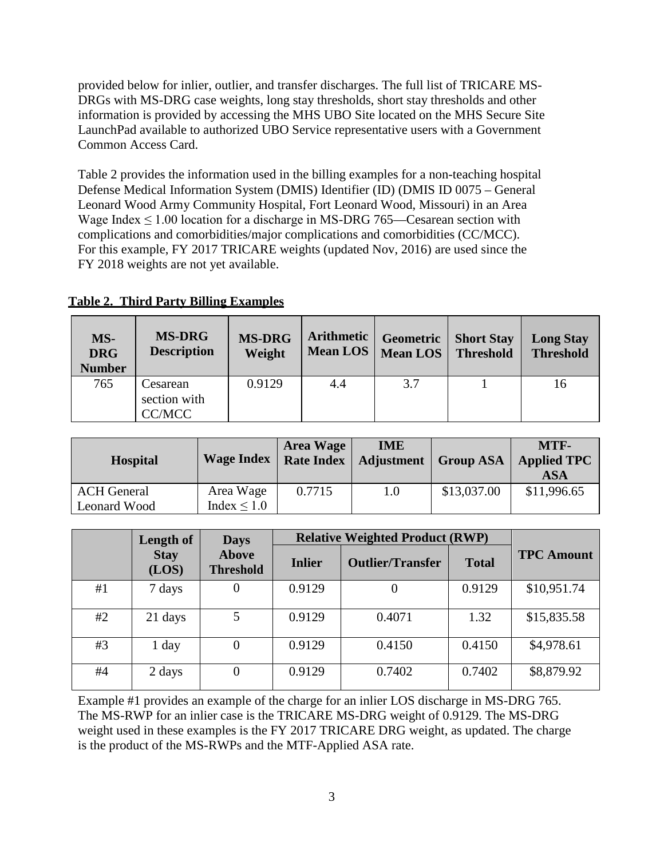provided below for inlier, outlier, and transfer discharges. The full list of TRICARE MS-DRGs with MS-DRG case weights, long stay thresholds, short stay thresholds and other information is provided by accessing the MHS UBO Site located on the [MHS Secure Site](https://info.health.mil/SitePages/Home.aspx) [LaunchPad](https://info.health.mil/SitePages/Home.aspx) available to authorized UBO Service representative users with a Government Common Access Card.

Table 2 provides the information used in the billing examples for a non-teaching hospital Defense Medical Information System (DMIS) Identifier (ID) (DMIS ID 0075 – General Leonard Wood Army Community Hospital, Fort Leonard Wood, Missouri) in an Area Wage Index  $\leq 1.00$  location for a discharge in MS-DRG 765—Cesarean section with complications and comorbidities/major complications and comorbidities (CC/MCC). For this example, FY 2017 TRICARE weights (updated Nov, 2016) are used since the FY 2018 weights are not yet available.

| MS-<br><b>DRG</b><br><b>Number</b> | <b>MS-DRG</b><br><b>Description</b> | <b>MS-DRG</b><br>Weight | <b>Arithmetic</b><br><b>Mean LOS</b> | Geometric<br><b>Mean LOS</b> | <b>Short Stay</b><br><b>Threshold</b> | <b>Long Stay</b><br><b>Threshold</b> |
|------------------------------------|-------------------------------------|-------------------------|--------------------------------------|------------------------------|---------------------------------------|--------------------------------------|
| 765                                | Cesarean<br>section with<br>CC/MCC  | 0.9129                  | 4.4                                  | 3.7                          |                                       | 16                                   |

# **Table 2. Third Party Billing Examples**

| <b>Hospital</b>                    | <b>Wage Index</b>             | <b>Area Wage</b><br><b>Rate Index</b> | <b>IME</b><br><b>Adjustment</b> | <b>Group ASA</b> | MTF-<br><b>Applied TPC</b><br>ASA |
|------------------------------------|-------------------------------|---------------------------------------|---------------------------------|------------------|-----------------------------------|
| <b>ACH General</b><br>Leonard Wood | Area Wage<br>Index $\leq 1.0$ | 0.7715                                | $1.0\,$                         | \$13,037.00      | \$11,996.65                       |

|    | Length of            | <b>Days</b>                                                                  |        | <b>Relative Weighted Product (RWP)</b> |                   |             |  |  |
|----|----------------------|------------------------------------------------------------------------------|--------|----------------------------------------|-------------------|-------------|--|--|
|    | <b>Stay</b><br>(LOS) | <b>Above</b><br><b>Outlier/Transfer</b><br><b>Inlier</b><br><b>Threshold</b> |        | <b>Total</b>                           | <b>TPC Amount</b> |             |  |  |
| #1 | 7 days               | 0                                                                            | 0.9129 | 0                                      | 0.9129            | \$10,951.74 |  |  |
| #2 | 21 days              | 5                                                                            | 0.9129 | 0.4071                                 | 1.32              | \$15,835.58 |  |  |
| #3 | 1 day                | $\Omega$                                                                     | 0.9129 | 0.4150                                 | 0.4150            | \$4,978.61  |  |  |
| #4 | 2 days               | $\overline{0}$                                                               | 0.9129 | 0.7402                                 | 0.7402            | \$8,879.92  |  |  |

Example #1 provides an example of the charge for an inlier LOS discharge in MS-DRG 765. The MS-RWP for an inlier case is the TRICARE MS-DRG weight of 0.9129. The MS-DRG weight used in these examples is the FY 2017 TRICARE DRG weight, as updated. The charge is the product of the MS-RWPs and the MTF-Applied ASA rate.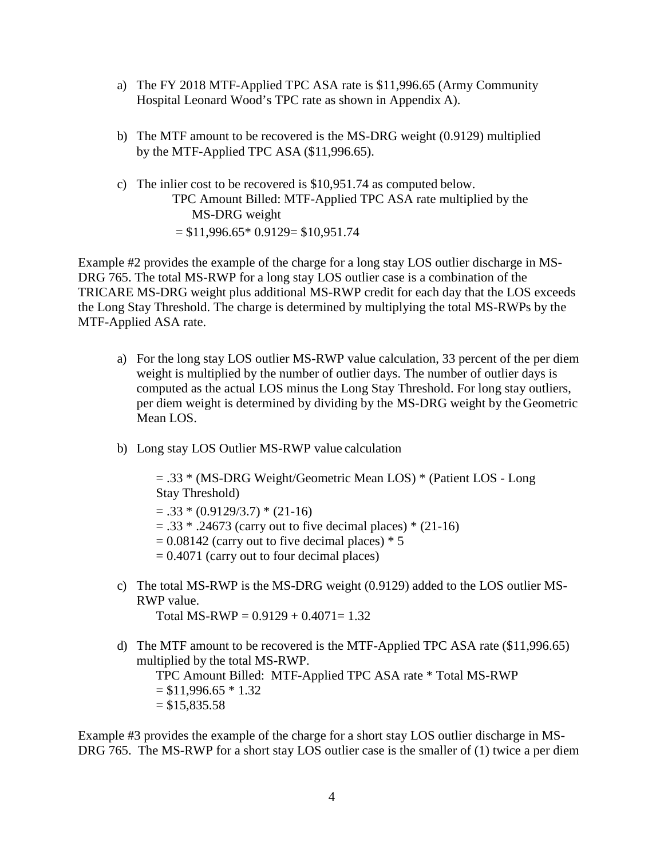- a) The FY 2018 MTF-Applied TPC ASA rate is \$11,996.65 (Army Community Hospital Leonard Wood's TPC rate as shown in Appendix A).
- b) The MTF amount to be recovered is the MS-DRG weight (0.9129) multiplied by the MTF-Applied TPC ASA (\$11,996.65).
- c) The inlier cost to be recovered is \$10,951.74 as computed below. TPC Amount Billed: MTF-Applied TPC ASA rate multiplied by the MS-DRG weight  $= $11,996.65*0.9129= $10,951.74$

Example #2 provides the example of the charge for a long stay LOS outlier discharge in MS-DRG 765. The total MS-RWP for a long stay LOS outlier case is a combination of the TRICARE MS-DRG weight plus additional MS-RWP credit for each day that the LOS exceeds the Long Stay Threshold. The charge is determined by multiplying the total MS-RWPs by the MTF-Applied ASA rate.

- a) For the long stay LOS outlier MS-RWP value calculation, 33 percent of the per diem weight is multiplied by the number of outlier days. The number of outlier days is computed as the actual LOS minus the Long Stay Threshold. For long stay outliers, per diem weight is determined by dividing by the MS-DRG weight by the Geometric Mean LOS.
- b) Long stay LOS Outlier MS-RWP value calculation

= .33 \* (MS-DRG Weight/Geometric Mean LOS) \* (Patient LOS - Long Stay Threshold)

 $= .33 * (0.9129/3.7) * (21-16)$ 

- $= .33$  \*  $.24673$  (carry out to five decimal places) \* (21-16)
- $= 0.08142$  (carry out to five decimal places)  $* 5$
- $= 0.4071$  (carry out to four decimal places)
- c) The total MS-RWP is the MS-DRG weight (0.9129) added to the LOS outlier MS-RWP value.

Total MS-RWP =  $0.9129 + 0.4071 = 1.32$ 

d) The MTF amount to be recovered is the MTF-Applied TPC ASA rate (\$11,996.65) multiplied by the total MS-RWP.

TPC Amount Billed: MTF-Applied TPC ASA rate \* Total MS-RWP  $= $11,996.65 * 1.32$  $= $15,835.58$ 

Example #3 provides the example of the charge for a short stay LOS outlier discharge in MS-DRG 765. The MS-RWP for a short stay LOS outlier case is the smaller of (1) twice a per diem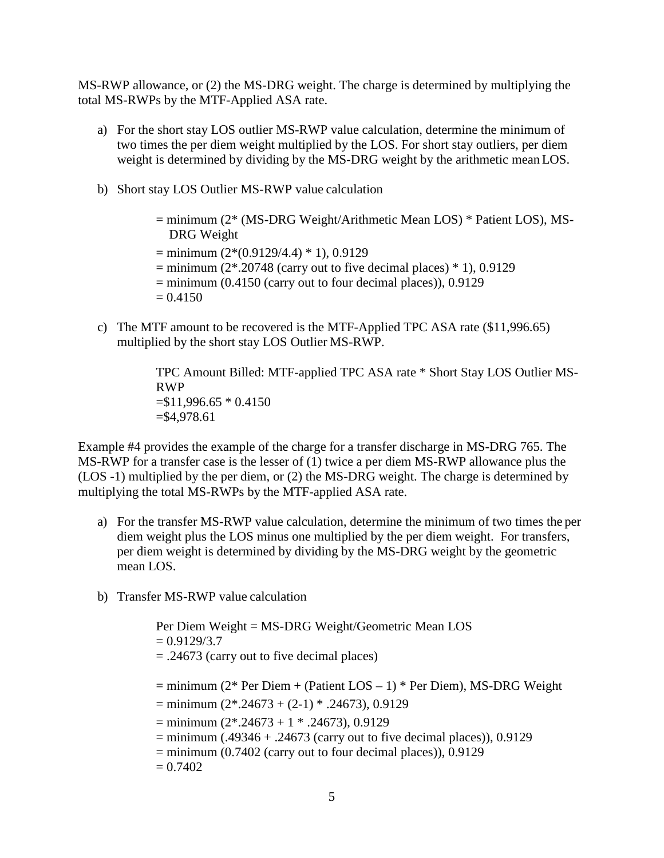MS-RWP allowance, or (2) the MS-DRG weight. The charge is determined by multiplying the total MS-RWPs by the MTF-Applied ASA rate.

- a) For the short stay LOS outlier MS-RWP value calculation, determine the minimum of two times the per diem weight multiplied by the LOS. For short stay outliers, per diem weight is determined by dividing by the MS-DRG weight by the arithmetic mean LOS.
- b) Short stay LOS Outlier MS-RWP value calculation

= minimum (2\* (MS-DRG Weight/Arithmetic Mean LOS) \* Patient LOS), MS-DRG Weight  $=$  minimum  $(2*(0.9129/4.4) * 1)$ , 0.9129  $=$  minimum (2\*.20748 (carry out to five decimal places) \* 1), 0.9129  $=$  minimum (0.4150 (carry out to four decimal places)), 0.9129  $= 0.4150$ 

c) The MTF amount to be recovered is the MTF-Applied TPC ASA rate (\$11,996.65) multiplied by the short stay LOS Outlier MS-RWP.

> TPC Amount Billed: MTF-applied TPC ASA rate \* Short Stay LOS Outlier MS-RWP  $= $11,996.65 * 0.4150$  $=$ \$4,978.61

Example #4 provides the example of the charge for a transfer discharge in MS-DRG 765. The MS-RWP for a transfer case is the lesser of (1) twice a per diem MS-RWP allowance plus the (LOS -1) multiplied by the per diem, or (2) the MS-DRG weight. The charge is determined by multiplying the total MS-RWPs by the MTF-applied ASA rate.

- a) For the transfer MS-RWP value calculation, determine the minimum of two times the per diem weight plus the LOS minus one multiplied by the per diem weight. For transfers, per diem weight is determined by dividing by the MS-DRG weight by the geometric mean LOS.
- b) Transfer MS-RWP value calculation

Per Diem Weight = MS-DRG Weight/Geometric Mean LOS  $= 0.9129/3.7$ = .24673 (carry out to five decimal places)  $=$  minimum (2\* Per Diem + (Patient LOS  $-1$ ) \* Per Diem), MS-DRG Weight  $=$  minimum  $(2*.24673 + (2-1) * .24673), 0.9129$  $=$  minimum (2\*.24673 + 1 \* .24673), 0.9129  $=$  minimum (.49346 + .24673 (carry out to five decimal places)), 0.9129  $=$  minimum (0.7402 (carry out to four decimal places)), 0.9129  $= 0.7402$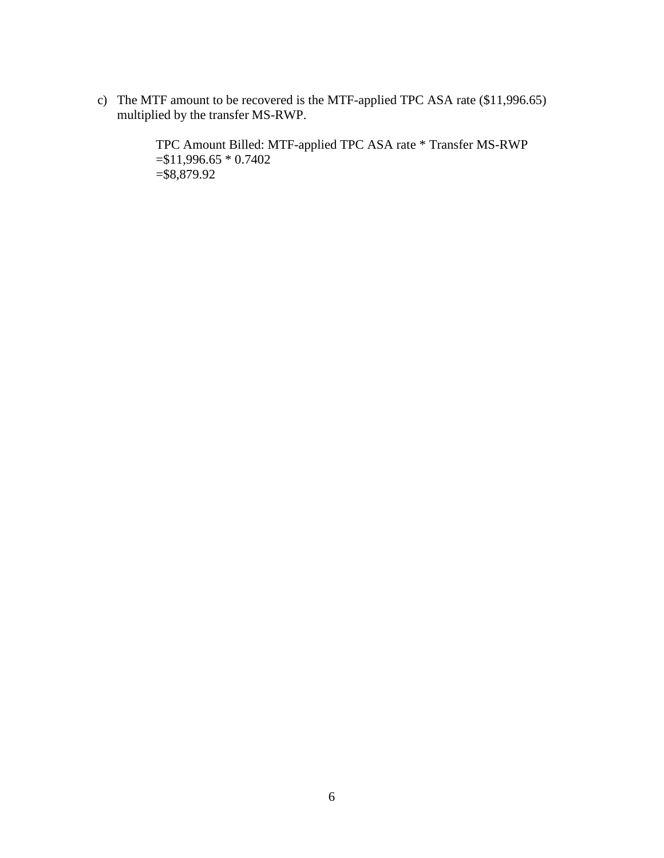c) The MTF amount to be recovered is the MTF-applied TPC ASA rate (\$11,996.65) multiplied by the transfer MS-RWP.

> TPC Amount Billed: MTF-applied TPC ASA rate \* Transfer MS-RWP =\$11,996.65 \* 0.7402 =\$8,879.92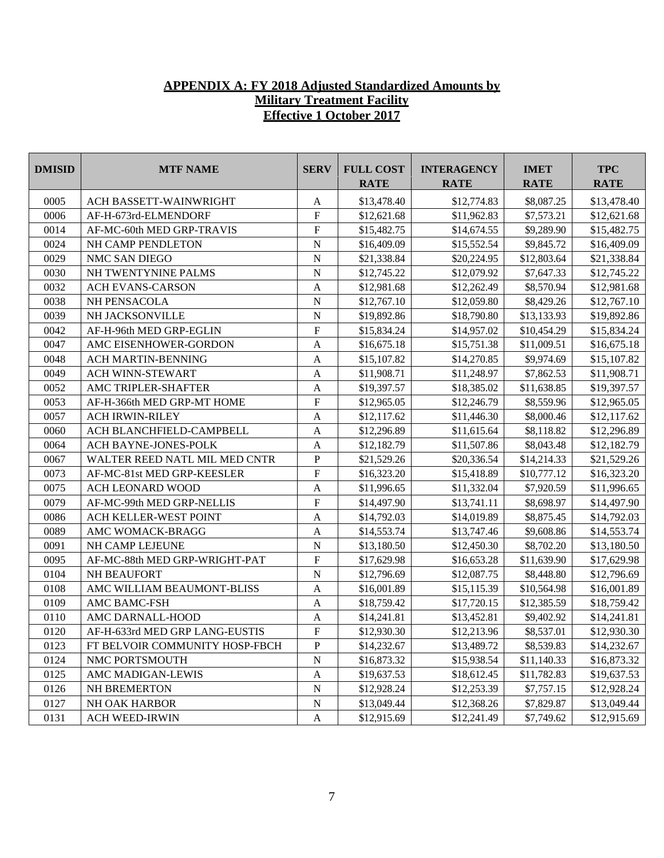# **APPENDIX A: FY 2018 Adjusted Standardized Amounts by Military Treatment Facility Effective 1 October 2017**

| <b>DMISID</b> | <b>MTF NAME</b>                | <b>SERV</b>    | <b>FULL COST</b><br><b>RATE</b> | <b>INTERAGENCY</b><br><b>RATE</b> | <b>IMET</b><br><b>RATE</b> | <b>TPC</b><br><b>RATE</b> |
|---------------|--------------------------------|----------------|---------------------------------|-----------------------------------|----------------------------|---------------------------|
| 0005          | ACH BASSETT-WAINWRIGHT         | A              | \$13,478.40                     | \$12,774.83                       | \$8,087.25                 | \$13,478.40               |
| 0006          | AF-H-673rd-ELMENDORF           | ${\bf F}$      | \$12,621.68                     | \$11,962.83                       | \$7,573.21                 | \$12,621.68               |
| 0014          | AF-MC-60th MED GRP-TRAVIS      | ${\bf F}$      | \$15,482.75                     | \$14,674.55                       | \$9,289.90                 | \$15,482.75               |
| 0024          | NH CAMP PENDLETON              | ${\bf N}$      | \$16,409.09                     | \$15,552.54                       | \$9,845.72                 | \$16,409.09               |
| 0029          | NMC SAN DIEGO                  | ${\bf N}$      | \$21,338.84                     | \$20,224.95                       | \$12,803.64                | \$21,338.84               |
| 0030          | NH TWENTYNINE PALMS            | $\mathbf N$    | \$12,745.22                     | \$12,079.92                       | \$7,647.33                 | \$12,745.22               |
| 0032          | ACH EVANS-CARSON               | $\mathbf{A}$   | \$12,981.68                     | \$12,262.49                       | \$8,570.94                 | \$12,981.68               |
| 0038          | NH PENSACOLA                   | $\overline{N}$ | \$12,767.10                     | \$12,059.80                       | \$8,429.26                 | \$12,767.10               |
| 0039          | NH JACKSONVILLE                | ${\bf N}$      | \$19,892.86                     | \$18,790.80                       | \$13,133.93                | \$19,892.86               |
| 0042          | AF-H-96th MED GRP-EGLIN        | $\mathbf F$    | \$15,834.24                     | \$14,957.02                       | \$10,454.29                | \$15,834.24               |
| 0047          | AMC EISENHOWER-GORDON          | $\mathbf{A}$   | \$16,675.18                     | \$15,751.38                       | \$11,009.51                | \$16,675.18               |
| 0048          | ACH MARTIN-BENNING             | $\mathbf{A}$   | \$15,107.82                     | \$14,270.85                       | \$9,974.69                 | \$15,107.82               |
| 0049          | ACH WINN-STEWART               | $\mathbf{A}$   | \$11,908.71                     | \$11,248.97                       | \$7,862.53                 | \$11,908.71               |
| 0052          | AMC TRIPLER-SHAFTER            | $\mathbf{A}$   | \$19,397.57                     | \$18,385.02                       | \$11,638.85                | \$19,397.57               |
| 0053          | AF-H-366th MED GRP-MT HOME     | ${\bf F}$      | \$12,965.05                     | \$12,246.79                       | \$8,559.96                 | \$12,965.05               |
| 0057          | <b>ACH IRWIN-RILEY</b>         | $\mathbf{A}$   | \$12,117.62                     | \$11,446.30                       | \$8,000.46                 | \$12,117.62               |
| 0060          | ACH BLANCHFIELD-CAMPBELL       | $\mathbf{A}$   | \$12,296.89                     | \$11,615.64                       | \$8,118.82                 | \$12,296.89               |
| 0064          | ACH BAYNE-JONES-POLK           | $\mathbf{A}$   | \$12,182.79                     | \$11,507.86                       | \$8,043.48                 | \$12,182.79               |
| 0067          | WALTER REED NATL MIL MED CNTR  | ${\bf P}$      | \$21,529.26                     | \$20,336.54                       | \$14,214.33                | \$21,529.26               |
| 0073          | AF-MC-81st MED GRP-KEESLER     | ${\bf F}$      | \$16,323.20                     | \$15,418.89                       | \$10,777.12                | \$16,323.20               |
| 0075          | ACH LEONARD WOOD               | $\mathbf{A}$   | \$11,996.65                     | \$11,332.04                       | \$7,920.59                 | \$11,996.65               |
| 0079          | AF-MC-99th MED GRP-NELLIS      | $\mathbf F$    | \$14,497.90                     | \$13,741.11                       | \$8,698.97                 | \$14,497.90               |
| 0086          | ACH KELLER-WEST POINT          | $\mathbf{A}$   | \$14,792.03                     | \$14,019.89                       | \$8,875.45                 | \$14,792.03               |
| 0089          | AMC WOMACK-BRAGG               | $\mathbf{A}$   | \$14,553.74                     | \$13,747.46                       | \$9,608.86                 | \$14,553.74               |
| 0091          | NH CAMP LEJEUNE                | ${\bf N}$      | \$13,180.50                     | \$12,450.30                       | \$8,702.20                 | \$13,180.50               |
| 0095          | AF-MC-88th MED GRP-WRIGHT-PAT  | ${\bf F}$      | \$17,629.98                     | \$16,653.28                       | \$11,639.90                | \$17,629.98               |
| 0104          | NH BEAUFORT                    | ${\bf N}$      | \$12,796.69                     | \$12,087.75                       | \$8,448.80                 | \$12,796.69               |
| 0108          | AMC WILLIAM BEAUMONT-BLISS     | $\mathbf{A}$   | \$16,001.89                     | \$15,115.39                       | \$10,564.98                | \$16,001.89               |
| 0109          | AMC BAMC-FSH                   | $\mathbf{A}$   | \$18,759.42                     | \$17,720.15                       | \$12,385.59                | \$18,759.42               |
| 0110          | AMC DARNALL-HOOD               | A              | \$14,241.81                     | \$13,452.81                       | \$9,402.92                 | \$14,241.81               |
| 0120          | AF-H-633rd MED GRP LANG-EUSTIS | $\overline{F}$ | \$12,930.30                     | \$12,213.96                       | \$8,537.01                 | \$12,930.30               |
| 0123          | FT BELVOIR COMMUNITY HOSP-FBCH | $\, {\bf P}$   | \$14,232.67                     | \$13,489.72                       | \$8,539.83                 | \$14,232.67               |
| 0124          | NMC PORTSMOUTH                 | ${\bf N}$      | \$16,873.32                     | \$15,938.54                       | \$11,140.33                | \$16,873.32               |
| 0125          | AMC MADIGAN-LEWIS              | A              | \$19,637.53                     | \$18,612.45                       | \$11,782.83                | \$19,637.53               |
| 0126          | NH BREMERTON                   | ${\bf N}$      | \$12,928.24                     | \$12,253.39                       | \$7,757.15                 | \$12,928.24               |
| 0127          | NH OAK HARBOR                  | ${\bf N}$      | \$13,049.44                     | \$12,368.26                       | \$7,829.87                 | \$13,049.44               |
| 0131          | <b>ACH WEED-IRWIN</b>          | A              | \$12,915.69                     | \$12,241.49                       | \$7,749.62                 | \$12,915.69               |